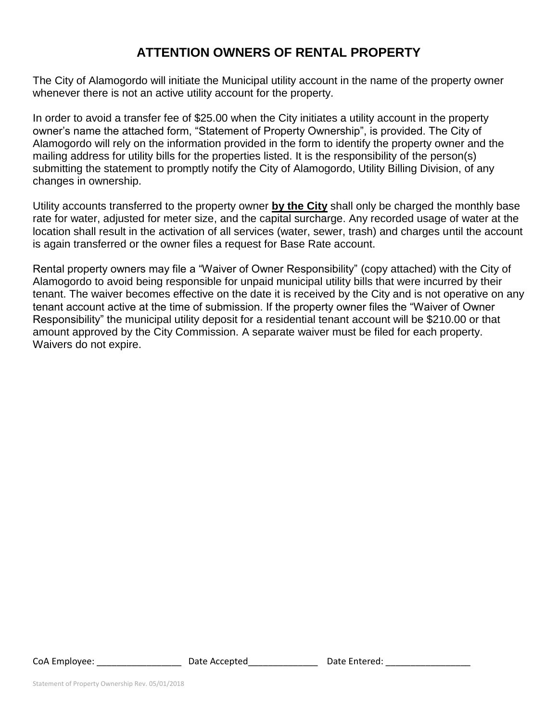# **ATTENTION OWNERS OF RENTAL PROPERTY**

The City of Alamogordo will initiate the Municipal utility account in the name of the property owner whenever there is not an active utility account for the property.

In order to avoid a transfer fee of \$25.00 when the City initiates a utility account in the property owner's name the attached form, "Statement of Property Ownership", is provided. The City of Alamogordo will rely on the information provided in the form to identify the property owner and the mailing address for utility bills for the properties listed. It is the responsibility of the person(s) submitting the statement to promptly notify the City of Alamogordo, Utility Billing Division, of any changes in ownership.

Utility accounts transferred to the property owner **by the City** shall only be charged the monthly base rate for water, adjusted for meter size, and the capital surcharge. Any recorded usage of water at the location shall result in the activation of all services (water, sewer, trash) and charges until the account is again transferred or the owner files a request for Base Rate account.

Rental property owners may file a "Waiver of Owner Responsibility" (copy attached) with the City of Alamogordo to avoid being responsible for unpaid municipal utility bills that were incurred by their tenant. The waiver becomes effective on the date it is received by the City and is not operative on any tenant account active at the time of submission. If the property owner files the "Waiver of Owner Responsibility" the municipal utility deposit for a residential tenant account will be \$210.00 or that amount approved by the City Commission. A separate waiver must be filed for each property. Waivers do not expire.

CoA Employee: \_\_\_\_\_\_\_\_\_\_\_\_\_\_\_\_\_\_\_\_\_\_\_\_\_ Date Accepted\_\_\_\_\_\_\_\_\_\_\_\_\_\_\_\_\_\_\_\_\_\_\_Date Entered: \_\_\_\_\_\_\_\_\_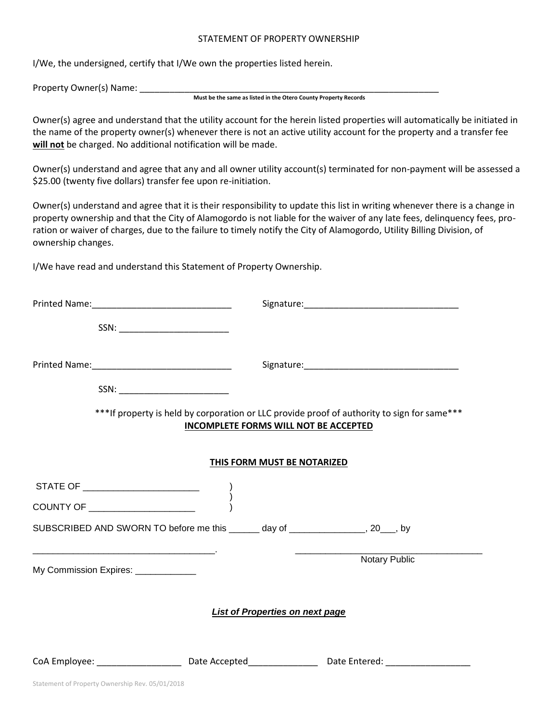#### STATEMENT OF PROPERTY OWNERSHIP

I/We, the undersigned, certify that I/We own the properties listed herein.

Property Owner(s) Name:

#### **Must be the same as listed in the Otero County Property Records**

Owner(s) agree and understand that the utility account for the herein listed properties will automatically be initiated in the name of the property owner(s) whenever there is not an active utility account for the property and a transfer fee **will not** be charged. No additional notification will be made.

Owner(s) understand and agree that any and all owner utility account(s) terminated for non-payment will be assessed a \$25.00 (twenty five dollars) transfer fee upon re-initiation.

Owner(s) understand and agree that it is their responsibility to update this list in writing whenever there is a change in property ownership and that the City of Alamogordo is not liable for the waiver of any late fees, delinquency fees, proration or waiver of charges, due to the failure to timely notify the City of Alamogordo, Utility Billing Division, of ownership changes.

I/We have read and understand this Statement of Property Ownership.

| SSN: ______________________________                                                                                                    |                                                                                                                                              |
|----------------------------------------------------------------------------------------------------------------------------------------|----------------------------------------------------------------------------------------------------------------------------------------------|
|                                                                                                                                        | *** If property is held by corporation or LLC provide proof of authority to sign for same***<br><b>INCOMPLETE FORMS WILL NOT BE ACCEPTED</b> |
|                                                                                                                                        | THIS FORM MUST BE NOTARIZED                                                                                                                  |
|                                                                                                                                        |                                                                                                                                              |
| COUNTY OF ______________________                                                                                                       |                                                                                                                                              |
|                                                                                                                                        | SUBSCRIBED AND SWORN TO before me this ______ day of ______________, 20___, by                                                               |
| the contract of the contract of the contract of the contract of the contract of the contract of<br>My Commission Expires: ____________ | <b>Notary Public</b>                                                                                                                         |
|                                                                                                                                        | <b>List of Properties on next page</b>                                                                                                       |
|                                                                                                                                        | CoA Employee: _________________________Date Accepted___________________Date Entered: _____________________                                   |
| Statement of Property Ownership Rev. 05/01/2018                                                                                        |                                                                                                                                              |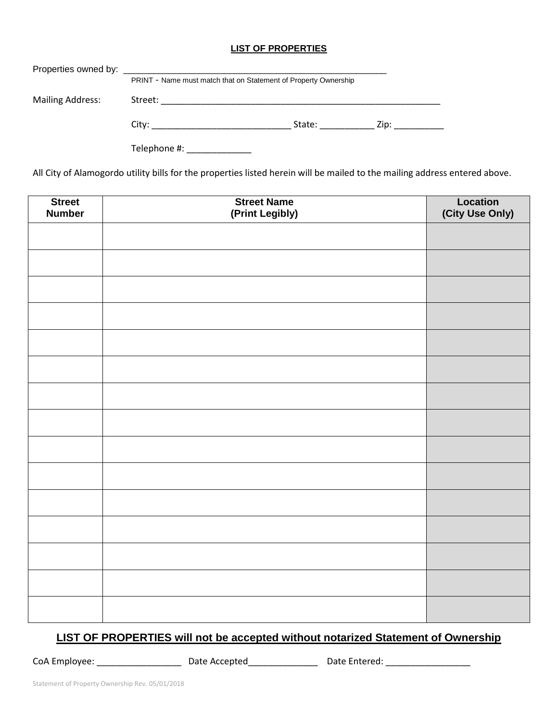## **LIST OF PROPERTIES**

|                         | PRINT - Name must match that on Statement of Property Ownership |                                                                                                                                                                                                                                |                 |  |
|-------------------------|-----------------------------------------------------------------|--------------------------------------------------------------------------------------------------------------------------------------------------------------------------------------------------------------------------------|-----------------|--|
| <b>Mailing Address:</b> |                                                                 |                                                                                                                                                                                                                                |                 |  |
|                         | City: ____________________________                              | State: the state of the state of the state of the state of the state of the state of the state of the state of the state of the state of the state of the state of the state of the state of the state of the state of the sta | Zip: __________ |  |
|                         | Telephone #:                                                    |                                                                                                                                                                                                                                |                 |  |

All City of Alamogordo utility bills for the properties listed herein will be mailed to the mailing address entered above.

| <b>Street</b><br><b>Number</b> | <b>Street Name</b><br>(Print Legibly) | <b>Location</b><br>(City Use Only) |
|--------------------------------|---------------------------------------|------------------------------------|
|                                |                                       |                                    |
|                                |                                       |                                    |
|                                |                                       |                                    |
|                                |                                       |                                    |
|                                |                                       |                                    |
|                                |                                       |                                    |
|                                |                                       |                                    |
|                                |                                       |                                    |
|                                |                                       |                                    |
|                                |                                       |                                    |
|                                |                                       |                                    |
|                                |                                       |                                    |
|                                |                                       |                                    |
|                                |                                       |                                    |
|                                |                                       |                                    |

## **LIST OF PROPERTIES will not be accepted without notarized Statement of Ownership**

CoA Employee: \_\_\_\_\_\_\_\_\_\_\_\_\_\_\_\_\_\_\_\_\_\_\_\_Date Accepted\_\_\_\_\_\_\_\_\_\_\_\_\_\_\_\_\_\_\_\_\_\_\_\_\_\_\_Date Entered: \_\_\_\_\_\_\_\_\_\_\_\_\_\_\_\_\_\_